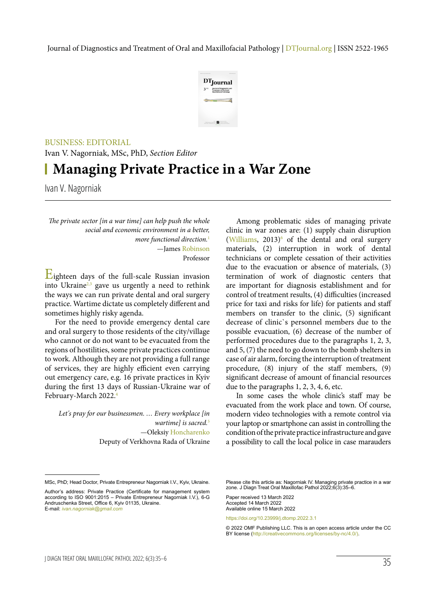

## BUSINESS: EDITORIAL

Ivan V. Nagorniak, MSc, PhD, *Section Editor*

## **Managing Private Practice in a War Zone**

Ivan V. Nagorniak

*The private sector [in a war time] can help push the whole social and economic environment in a better, more functional direction.*<sup>1</sup> —James Robinson Professor

Eighteen days of the full-scale Russian invasion into Ukraine $2,3$  gave us urgently a need to rethink the ways we can run private dental and oral surgery practice. Wartime dictate us completely different and sometimes highly risky agenda.

For the need to provide emergency dental care and oral surgery to those residents of the city/village who cannot or do not want to be evacuated from the regions of hostilities, some private practices continue to work. Although they are not providing a full range of services, they are highly efficient even carrying out emergency care, e.g. 16 private practices in Kyiv during the first 13 days of Russian-Ukraine war of February-March 2022.4

*Let's pray for our businessmen. … Every workplace [in wartime] is sacred.*<sup>5</sup> —Oleksiy Honcharenko Deputy of Verkhovna Rada of Ukraine

Among problematic sides of managing private clinic in war zones are: (1) supply chain disruption  $(Williams, 2013)$ <sup>6</sup> of the dental and oral surgery materials, (2) interruption in work of dental technicians or complete cessation of their activities due to the evacuation or absence of materials, (3) termination of work of diagnostic centers that are important for diagnosis establishment and for control of treatment results, (4) difficulties (increased price for taxi and risks for life) for patients and staff members on transfer to the clinic, (5) significant decrease of clinic`s personnel members due to the possible evacuation, (6) decrease of the number of performed procedures due to the paragraphs 1, 2, 3, and 5, (7) the need to go down to the bomb shelters in case of air alarm, forcing the interruption of treatment procedure, (8) injury of the staff members, (9) significant decrease of amount of financial resources due to the paragraphs 1, 2, 3, 4, 6, etc.

In some cases the whole clinic's staff may be evacuated from the work place and town. Of course, modern video technologies with a remote control via your laptop or smartphone can assist in controlling the condition of the private practice infrastructure and gave a possibility to call the local police in case marauders

Please cite this article as: Nagorniak IV. Managing private practice in a war zone. J Diagn Treat Oral Maxillofac Pathol 2022;6(3):35–6.

Paper received 13 March 2022 Accepted 14 March 2022 Available online 15 March 2022

https://doi.org/10.23999/j.dtomp.2022.3.1

MSc, PhD; Head Doctor, Private Entrepreneur Nagorniak I.V., Kyiv, Ukraine.

Author's address: Private Practice (Certificate for management system according to ISO 9001:2015 – Private Entrepreneur Nagorniak I.V.), 6-G Andruschenka Street, Office 6, Kyiv 01135, Ukraine. E-mail: *ivan.nagorniak@gmail.com*

<sup>© 2022</sup> OMF Publishing LLC. This is an open access article under the CC BY license (http://creativecommons.org/licenses/by-nc/4.0/).